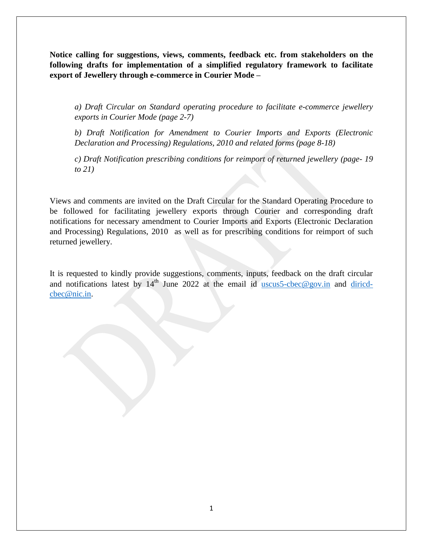**Notice calling for suggestions, views, comments, feedback etc. from stakeholders on the following drafts for implementation of a simplified regulatory framework to facilitate export of Jewellery through e-commerce in Courier Mode –**

*a) Draft Circular on Standard operating procedure to facilitate e-commerce jewellery exports in Courier Mode (page 2-7)* 

*b) Draft Notification for Amendment to Courier Imports and Exports (Electronic Declaration and Processing) Regulations, 2010 and related forms (page 8-18)*

*c) Draft Notification prescribing conditions for reimport of returned jewellery (page- 19 to 21)*

Views and comments are invited on the Draft Circular for the Standard Operating Procedure to be followed for facilitating jewellery exports through Courier and corresponding draft notifications for necessary amendment to Courier Imports and Exports (Electronic Declaration and Processing) Regulations, 2010 as well as for prescribing conditions for reimport of such returned jewellery.

It is requested to kindly provide suggestions, comments, inputs, feedback on the draft circular and notifications latest by  $14<sup>th</sup>$  June 2022 at the email id [uscus5-cbec@gov.in](mailto:uscus5-cbec@gov.in) and [diricd](mailto:diricd-cbec@nic.in)[cbec@nic.in.](mailto:diricd-cbec@nic.in)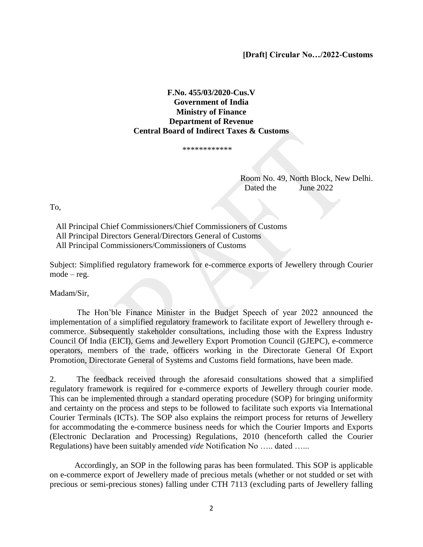**[Draft] Circular No…/2022-Customs**

### **F.No. 455/03/2020-Cus.V Government of India Ministry of Finance Department of Revenue Central Board of Indirect Taxes & Customs**

\*\*\*\*\*\*\*\*\*\*\*\*

Room No. 49, North Block, New Delhi. **Dated the June 2022** 

To,

 All Principal Chief Commissioners/Chief Commissioners of Customs All Principal Directors General/Directors General of Customs All Principal Commissioners/Commissioners of Customs

Subject: Simplified regulatory framework for e-commerce exports of Jewellery through Courier mode – reg.

Madam/Sir,

 The Hon"ble Finance Minister in the Budget Speech of year 2022 announced the implementation of a simplified regulatory framework to facilitate export of Jewellery through ecommerce. Subsequently stakeholder consultations, including those with the Express Industry Council Of India (EICI), Gems and Jewellery Export Promotion Council (GJEPC), e-commerce operators, members of the trade, officers working in the Directorate General Of Export Promotion, Directorate General of Systems and Customs field formations, have been made.

2. The feedback received through the aforesaid consultations showed that a simplified regulatory framework is required for e-commerce exports of Jewellery through courier mode. This can be implemented through a standard operating procedure (SOP) for bringing uniformity and certainty on the process and steps to be followed to facilitate such exports via International Courier Terminals (ICTs). The SOP also explains the reimport process for returns of Jewellery for accommodating the e-commerce business needs for which the Courier Imports and Exports (Electronic Declaration and Processing) Regulations, 2010 (henceforth called the Courier Regulations) have been suitably amended *vide* Notification No ….. dated …...

Accordingly, an SOP in the following paras has been formulated. This SOP is applicable on e-commerce export of Jewellery made of precious metals (whether or not studded or set with precious or semi-precious stones) falling under CTH 7113 (excluding parts of Jewellery falling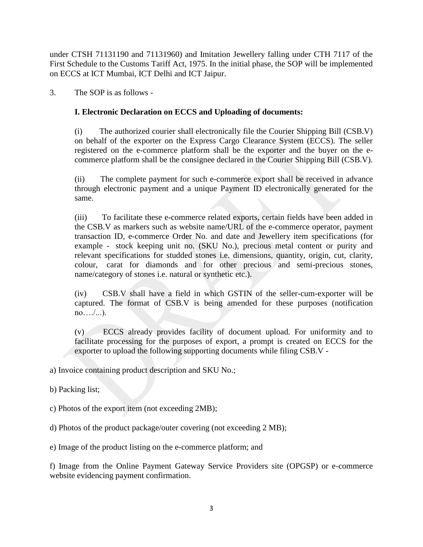under CTSH 71131190 and 71131960) and Imitation Jewellery falling under CTH 7117 of the First Schedule to the Customs Tariff Act, 1975. In the initial phase, the SOP will be implemented on ECCS at ICT Mumbai, ICT Delhi and ICT Jaipur.

3. The SOP is as follows -

# **I. Electronic Declaration on ECCS and Uploading of documents:**

(i) The authorized courier shall electronically file the Courier Shipping Bill (CSB.V) on behalf of the exporter on the Express Cargo Clearance System (ECCS). The seller registered on the e-commerce platform shall be the exporter and the buyer on the ecommerce platform shall be the consignee declared in the Courier Shipping Bill (CSB.V).

(ii) The complete payment for such e-commerce export shall be received in advance through electronic payment and a unique Payment ID electronically generated for the same.

(iii) To facilitate these e-commerce related exports, certain fields have been added in the CSB.V as markers such as website name/URL of the e-commerce operator, payment transaction ID, e-commerce Order No. and date and Jewellery item specifications (for example - stock keeping unit no. (SKU No.), precious metal content or purity and relevant specifications for studded stones i.e. dimensions, quantity, origin, cut, clarity, colour, carat for diamonds and for other precious and semi-precious stones, name/category of stones i.e. natural or synthetic etc.).

(iv) CSB.V shall have a field in which GSTIN of the seller-cum-exporter will be captured. The format of CSB.V is being amended for these purposes (notification no…./...).

(v) ECCS already provides facility of document upload. For uniformity and to facilitate processing for the purposes of export, a prompt is created on ECCS for the exporter to upload the following supporting documents while filing CSB.V -

a) Invoice containing product description and SKU No.;

b) Packing list;

c) Photos of the export item (not exceeding 2MB);

d) Photos of the product package/outer covering (not exceeding 2 MB);

e) Image of the product listing on the e-commerce platform; and

f) Image from the Online Payment Gateway Service Providers site (OPGSP) or e-commerce website evidencing payment confirmation.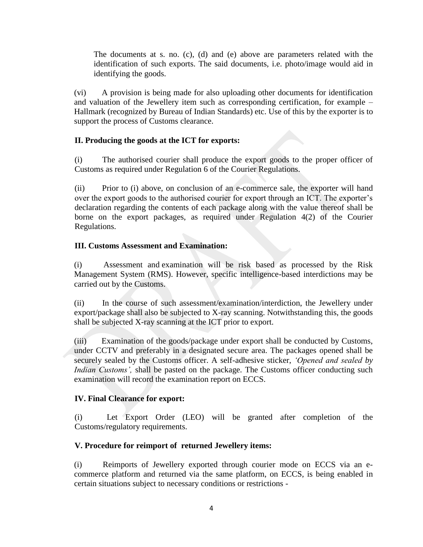The documents at s. no. (c), (d) and (e) above are parameters related with the identification of such exports. The said documents, i.e. photo/image would aid in identifying the goods.

(vi) A provision is being made for also uploading other documents for identification and valuation of the Jewellery item such as corresponding certification, for example – Hallmark (recognized by Bureau of Indian Standards) etc. Use of this by the exporter is to support the process of Customs clearance.

## **II. Producing the goods at the ICT for exports:**

(i) The authorised courier shall produce the export goods to the proper officer of Customs as required under Regulation 6 of the Courier Regulations.

(ii) Prior to (i) above, on conclusion of an e-commerce sale, the exporter will hand over the export goods to the authorised courier for export through an ICT. The exporter's declaration regarding the contents of each package along with the value thereof shall be borne on the export packages, as required under Regulation 4(2) of the Courier Regulations.

# **III. Customs Assessment and Examination:**

(i) Assessment and examination will be risk based as processed by the Risk Management System (RMS). However, specific intelligence-based interdictions may be carried out by the Customs.

(ii) In the course of such assessment/examination/interdiction, the Jewellery under export/package shall also be subjected to X-ray scanning. Notwithstanding this, the goods shall be subjected X-ray scanning at the ICT prior to export.

(iii) Examination of the goods/package under export shall be conducted by Customs, under CCTV and preferably in a designated secure area. The packages opened shall be securely sealed by the Customs officer. A self-adhesive sticker, *'Opened and sealed by Indian Customs'*, shall be pasted on the package. The Customs officer conducting such examination will record the examination report on ECCS.

## **IV. Final Clearance for export:**

(i) Let Export Order (LEO) will be granted after completion of the Customs/regulatory requirements.

## **V. Procedure for reimport of returned Jewellery items:**

(i) Reimports of Jewellery exported through courier mode on ECCS via an ecommerce platform and returned via the same platform, on ECCS, is being enabled in certain situations subject to necessary conditions or restrictions -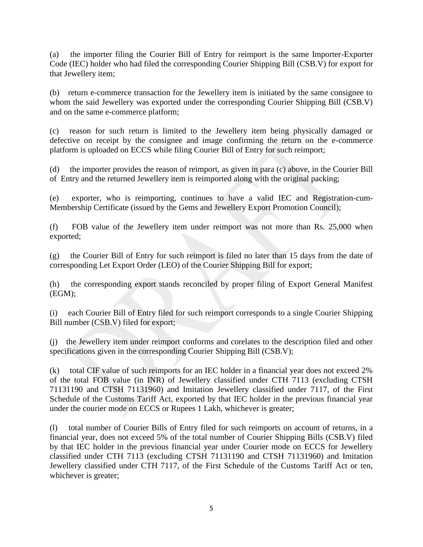(a) the importer filing the Courier Bill of Entry for reimport is the same Importer-Exporter Code (IEC) holder who had filed the corresponding Courier Shipping Bill (CSB.V) for export for that Jewellery item;

(b) return e-commerce transaction for the Jewellery item is initiated by the same consignee to whom the said Jewellery was exported under the corresponding Courier Shipping Bill (CSB.V) and on the same e-commerce platform;

(c) reason for such return is limited to the Jewellery item being physically damaged or defective on receipt by the consignee and image confirming the return on the e-commerce platform is uploaded on ECCS while filing Courier Bill of Entry for such reimport;

(d) the importer provides the reason of reimport, as given in para (c) above, in the Courier Bill of Entry and the returned Jewellery item is reimported along with the original packing;

(e) exporter, who is reimporting, continues to have a valid IEC and Registration-cum-Membership Certificate (issued by the Gems and Jewellery Export Promotion Council);

(f) FOB value of the Jewellery item under reimport was not more than Rs. 25,000 when exported;

(g) the Courier Bill of Entry for such reimport is filed no later than 15 days from the date of corresponding Let Export Order (LEO) of the Courier Shipping Bill for export;

(h) the corresponding export stands reconciled by proper filing of Export General Manifest (EGM);

(i) each Courier Bill of Entry filed for such reimport corresponds to a single Courier Shipping Bill number (CSB.V) filed for export;

(j) the Jewellery item under reimport conforms and corelates to the description filed and other specifications given in the corresponding Courier Shipping Bill (CSB.V);

(k) total CIF value of such reimports for an IEC holder in a financial year does not exceed 2% of the total FOB value (in INR) of Jewellery classified under CTH 7113 (excluding CTSH 71131190 and CTSH 71131960) and Imitation Jewellery classified under 7117, of the First Schedule of the Customs Tariff Act, exported by that IEC holder in the previous financial year under the courier mode on ECCS or Rupees 1 Lakh, whichever is greater;

(l) total number of Courier Bills of Entry filed for such reimports on account of returns, in a financial year, does not exceed 5% of the total number of Courier Shipping Bills (CSB.V) filed by that IEC holder in the previous financial year under Courier mode on ECCS for Jewellery classified under CTH 7113 (excluding CTSH 71131190 and CTSH 71131960) and Imitation Jewellery classified under CTH 7117, of the First Schedule of the Customs Tariff Act or ten, whichever is greater;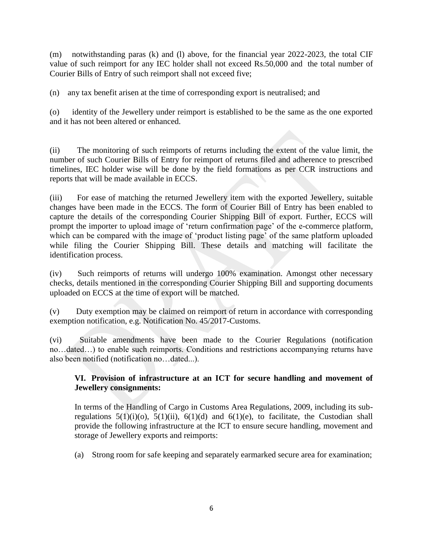(m) notwithstanding paras (k) and (l) above, for the financial year 2022-2023, the total CIF value of such reimport for any IEC holder shall not exceed Rs.50,000 and the total number of Courier Bills of Entry of such reimport shall not exceed five;

(n) any tax benefit arisen at the time of corresponding export is neutralised; and

(o) identity of the Jewellery under reimport is established to be the same as the one exported and it has not been altered or enhanced.

(ii) The monitoring of such reimports of returns including the extent of the value limit, the number of such Courier Bills of Entry for reimport of returns filed and adherence to prescribed timelines, IEC holder wise will be done by the field formations as per CCR instructions and reports that will be made available in ECCS.

(iii) For ease of matching the returned Jewellery item with the exported Jewellery, suitable changes have been made in the ECCS. The form of Courier Bill of Entry has been enabled to capture the details of the corresponding Courier Shipping Bill of export. Further, ECCS will prompt the importer to upload image of "return confirmation page" of the e-commerce platform, which can be compared with the image of 'product listing page' of the same platform uploaded while filing the Courier Shipping Bill. These details and matching will facilitate the identification process.

(iv) Such reimports of returns will undergo 100% examination. Amongst other necessary checks, details mentioned in the corresponding Courier Shipping Bill and supporting documents uploaded on ECCS at the time of export will be matched.

(v) Duty exemption may be claimed on reimport of return in accordance with corresponding exemption notification, e.g. Notification No. 45/2017-Customs.

(vi) Suitable amendments have been made to the Courier Regulations (notification no…dated…) to enable such reimports. Conditions and restrictions accompanying returns have also been notified (notification no…dated...).

# **VI. Provision of infrastructure at an ICT for secure handling and movement of Jewellery consignments:**

In terms of the Handling of Cargo in Customs Area Regulations, 2009, including its subregulations  $5(1)(i)(o)$ ,  $5(1)(ii)$ ,  $6(1)(d)$  and  $6(1)(e)$ , to facilitate, the Custodian shall provide the following infrastructure at the ICT to ensure secure handling, movement and storage of Jewellery exports and reimports:

(a) Strong room for safe keeping and separately earmarked secure area for examination;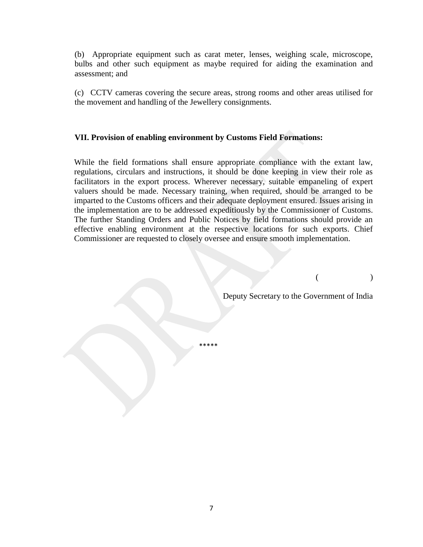(b) Appropriate equipment such as carat meter, lenses, weighing scale, microscope, bulbs and other such equipment as maybe required for aiding the examination and assessment; and

(c) CCTV cameras covering the secure areas, strong rooms and other areas utilised for the movement and handling of the Jewellery consignments.

## **VII. Provision of enabling environment by Customs Field Formations:**

While the field formations shall ensure appropriate compliance with the extant law, regulations, circulars and instructions, it should be done keeping in view their role as facilitators in the export process. Wherever necessary, suitable empaneling of expert valuers should be made. Necessary training, when required, should be arranged to be imparted to the Customs officers and their adequate deployment ensured. Issues arising in the implementation are to be addressed expeditiously by the Commissioner of Customs. The further Standing Orders and Public Notices by field formations should provide an effective enabling environment at the respective locations for such exports. Chief Commissioner are requested to closely oversee and ensure smooth implementation.

 $($ 

Deputy Secretary to the Government of India

\*\*\*\*\*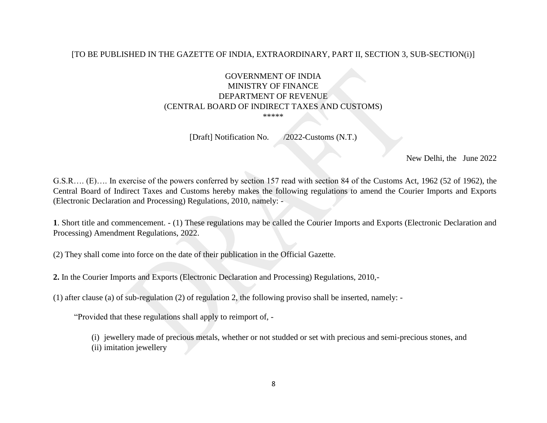#### [TO BE PUBLISHED IN THE GAZETTE OF INDIA, EXTRAORDINARY, PART II, SECTION 3, SUB-SECTION(i)]

### GOVERNMENT OF INDIA MINISTRY OF FINANCE DEPARTMENT OF REVENUE (CENTRAL BOARD OF INDIRECT TAXES AND CUSTOMS) \*\*\*\*\*

[Draft] Notification No. /2022-Customs (N.T.)

New Delhi, the June 2022

G.S.R…. (E)…. In exercise of the powers conferred by section 157 read with section 84 of the Customs Act, 1962 (52 of 1962), the Central Board of Indirect Taxes and Customs hereby makes the following regulations to amend the Courier Imports and Exports (Electronic Declaration and Processing) Regulations, 2010, namely: -

**1**. Short title and commencement. - (1) These regulations may be called the Courier Imports and Exports (Electronic Declaration and Processing) Amendment Regulations, 2022.

- (2) They shall come into force on the date of their publication in the Official Gazette.
- **2.** In the Courier Imports and Exports (Electronic Declaration and Processing) Regulations, 2010,-
- (1) after clause (a) of sub-regulation (2) of regulation 2, the following proviso shall be inserted, namely: -

"Provided that these regulations shall apply to reimport of, -

(i) jewellery made of precious metals, whether or not studded or set with precious and semi-precious stones, and (ii) imitation jewellery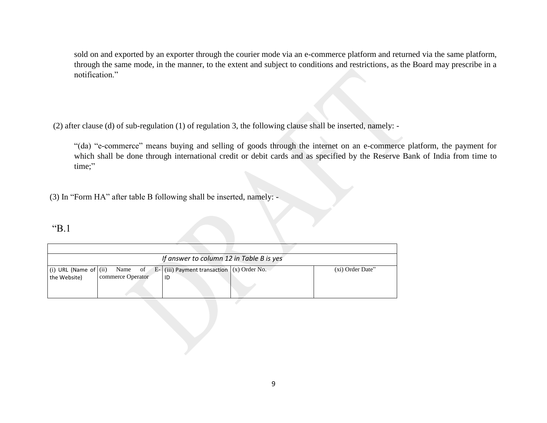sold on and exported by an exporter through the courier mode via an e-commerce platform and returned via the same platform, through the same mode, in the manner, to the extent and subject to conditions and restrictions, as the Board may prescribe in a notification."

(2) after clause (d) of sub-regulation (1) of regulation 3, the following clause shall be inserted, namely: -

"(da) "e-commerce" means buying and selling of goods through the internet on an e-commerce platform, the payment for which shall be done through international credit or debit cards and as specified by the Reserve Bank of India from time to time;"

(3) In "Form HA" after table B following shall be inserted, namely: -

# "B.1

|              |                   | If answer to column 12 in Table B is yes                                               |                  |
|--------------|-------------------|----------------------------------------------------------------------------------------|------------------|
| the Website) | commerce Operator | (i) URL (Name of $(ii)$ Name of E- $(iii)$ Payment transaction $(x)$ Order No.<br>l ID | (xi) Order Date" |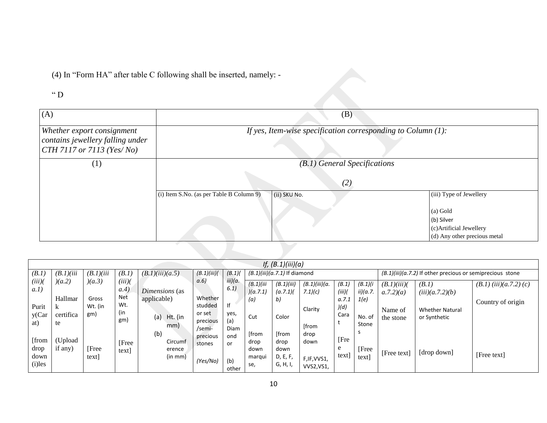(4) In "Form HA" after table C following shall be inserted, namely: -

 $\lq\lq$  D

| (A)                                                                                           |                                          | (B)                                                             |                                                                                   |
|-----------------------------------------------------------------------------------------------|------------------------------------------|-----------------------------------------------------------------|-----------------------------------------------------------------------------------|
| Whether export consignment<br>contains jewellery falling under<br>$CTH$ 7117 or 7113 (Yes/No) |                                          | If yes, Item-wise specification corresponding to Column $(1)$ : |                                                                                   |
| $\left( 1\right)$                                                                             |                                          | (B.1) General Specifications                                    |                                                                                   |
|                                                                                               |                                          | (2)                                                             |                                                                                   |
|                                                                                               | (i) Item S.No. (as per Table B Column 9) | (ii) SKU No.                                                    | (iii) Type of Jewellery                                                           |
|                                                                                               |                                          |                                                                 | (a) Gold<br>(b) Silver<br>(c)Artificial Jewellery<br>(d) Any other precious metal |
|                                                                                               |                                          |                                                                 |                                                                                   |

|                                    |                                 |                         |                         |                                      |                                          |                                   |                                        | <i>If,</i> $(B.1)(iii)(a)$                    |                                                   |                       |                         |                         |                                                             |                          |
|------------------------------------|---------------------------------|-------------------------|-------------------------|--------------------------------------|------------------------------------------|-----------------------------------|----------------------------------------|-----------------------------------------------|---------------------------------------------------|-----------------------|-------------------------|-------------------------|-------------------------------------------------------------|--------------------------|
| (B.1)                              | (B.1)(iii)                      | (B.1)(iii)              | (B.1)                   | (B.1)(iii)(a.5)                      | (B.1)(iii)                               | (B.1)                             |                                        | $(B.1)(iii)(a.7.1)$ If diamond                |                                                   |                       |                         |                         | $(B.1)(iii)(a.7.2)$ If other precious or semiprecious stone |                          |
| (iii)<br>a.1)                      | (a.2)                           | )(a.3)                  | (iii)<br>(a.4)          | Dimensions (as                       | a.6                                      | iii)(a.<br>6.1                    | (B.1)/iii<br>(a.7.1)                   | (B.1)(iii)<br>(a.7.1)                         | (B.1)(iii)(a.<br>7.1)(c)                          | (B.1)<br>(iii)        | (B.1)(i)<br>ii)(a.7.    | (B.1)(iii)<br>a.7.2)(a) | (B.1)<br>(iii)(a.7.2)(b)                                    | $(B.1)$ (iii)(a.7.2) (c) |
| Purit<br>y(Car<br>at)              | Hallmar<br>k<br>certifica<br>te | Gross<br>Wt. (in<br>gm) | Net<br>Wt.<br>(in<br>gm | applicable)<br>(a)<br>Ht. (in<br>mm) | Whether<br>studded<br>or set<br>precious | f <br>yes,<br>(a)                 | (a)<br>Cut                             | b)<br>Color                                   | Clarity<br>[from                                  | a.7.1<br>)(d)<br>Cara | 1(e)<br>No. of<br>Stone | Name of<br>the stone    | <b>Whether Natural</b><br>or Synthetic                      | Country of origin        |
| [from<br>drop<br>down<br>$(i)$ les | (Upload)<br>if any)             | [Free<br>text           | [Free<br>text           | (b)<br>Circumf<br>erence<br>(in mm)  | /semi-<br>precious<br>stones<br>(Yes/No) | Diam<br>ond<br>or<br>(b)<br>other | [from<br>drop<br>down<br>marqui<br>se, | [from<br>drop<br>down<br>D, E, F,<br>G, H, I, | drop<br>down<br>F, IF, VVS1,<br><b>VVS2, VS1,</b> | [Fre<br>e<br>text]    | S<br>[Free<br>text      | [Free text]             | [drop down]                                                 | [Free text]              |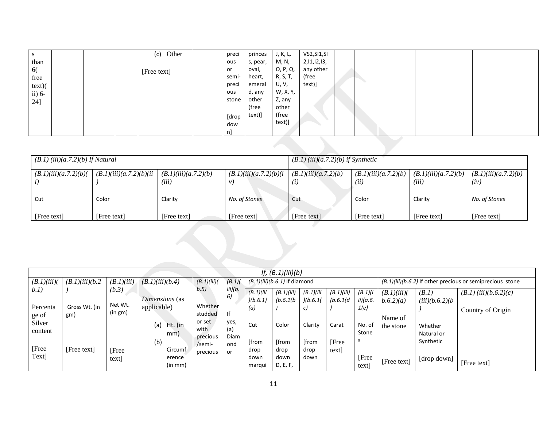| S                    |  | (c) Other   | preci | princes  | J, K, L, | VS2,SI1,SI  |  |  |  |
|----------------------|--|-------------|-------|----------|----------|-------------|--|--|--|
| than                 |  |             | ous   | s, pear, | M, N,    | 2,11,12,13, |  |  |  |
| 6(                   |  | [Free text] | or    | oval,    | O, P, Q, | any other   |  |  |  |
| free                 |  |             | semi- | heart,   | R, S, T, | (free       |  |  |  |
| text)                |  |             | preci | emeral   | U, V,    | text)]      |  |  |  |
| $\overline{ii}$ ) 6- |  |             | ous   | d, any   | W, X, Y, |             |  |  |  |
| 24]                  |  |             | stone | other    | Z, any   |             |  |  |  |
|                      |  |             |       | (free    | other    |             |  |  |  |
|                      |  |             | [drop | text)]   | (free    |             |  |  |  |
|                      |  |             | dow   |          | text)]   |             |  |  |  |
|                      |  |             | n]    |          |          |             |  |  |  |
|                      |  |             |       |          |          |             |  |  |  |
|                      |  |             |       |          |          |             |  |  |  |

| $(B.1)$ (iii) $(a.7.2)$ (b) If Natural |                          |                               |                         | $(B.1)$ (iii) $(a.7.2)$ (b) if Synthetic |                              |                               |                              |  |  |  |  |
|----------------------------------------|--------------------------|-------------------------------|-------------------------|------------------------------------------|------------------------------|-------------------------------|------------------------------|--|--|--|--|
| (B.1)(iii)(a.7.2)(b)                   | (B.1)(iii)(a.7.2)(b)(ii) | (B.1)(iii)(a.7.2)(b)<br>(iii) | (B.1)(iii)(a.7.2)(b)(i) | (B.1)(iii)(a.7.2)(b)<br>(i)              | (B.1)(iii)(a.7.2)(b)<br>(ii) | (B.1)(iii)(a.7.2)(b)<br>(iii) | (B.1)(iii)(a.7.2)(b)<br>(iv) |  |  |  |  |
| Cut                                    | Color                    | Clarity                       | No. of Stones           | Cut                                      | Color                        | Clarity                       | No. of Stones                |  |  |  |  |
| [Free text]                            | [Free text]              | [Free text]                   | [Free text]             | [Free text]                              | [Free text]                  | [Free text]                   | [Free text]                  |  |  |  |  |

|                   | If, $(B.1)(iii)(b)$  |                    |                       |                              |                    |                        |                                |                        |                         |                      |                         |                          |                                                           |
|-------------------|----------------------|--------------------|-----------------------|------------------------------|--------------------|------------------------|--------------------------------|------------------------|-------------------------|----------------------|-------------------------|--------------------------|-----------------------------------------------------------|
| (B.1)(iii)        | (B.1)(iii)(b.2)      | (B.1)(iii)         | (B.1)(iii)(b.4)       | (B.1)(iii)                   | (B.1)              |                        | $(B.1)(iii)(b.6.1)$ If diamond |                        |                         |                      |                         |                          | (B.1)(iii)(b.6.2) If other precious or semiprecious stone |
| b.1)              |                      | (b.3)              | Dimensions (as        | b.5)                         | iii)(b.<br>6,      | (B.1)(iii)<br>)(b.6.1) | (B.1)(iii)<br>(b.6.1/b)        | (B.1)(iii)<br>)(b.6.1) | (B.1)(iii)<br>(b.6.1/d) | (B.1)(i)<br>ii)(a.6. | (B.1)(iii)<br>b.6.2)(a) | (B.1)<br>(iii)(b.6.2)(b) | $(B.1)$ (iii)(b.6.2)(c)                                   |
| Percenta<br>ge of | Gross Wt. (in<br>gm) | Net Wt.<br>(in gm) | applicable)           | Whether<br>studded<br>or set | lf<br>yes,         | (a)                    |                                |                        |                         | 1(e)                 | Name of                 |                          | Country of Origin                                         |
| Silver<br>content |                      |                    | (a)<br>Ht. (in<br>mm) | with<br>precious             | (a)<br><b>Diam</b> | Cut                    | Color                          | Clarity                | Carat                   | No. of<br>Stone      | the stone               | Whether<br>Natural or    |                                                           |
| [Free             | [Free text]          | [Free              | (b)<br>Circumf        | /semi-<br>precious           | ond<br>or          | [from<br>drop          | [from<br>drop                  | [from<br>drop          | [Free]<br>text          |                      |                         | Synthetic                |                                                           |
| Text]             |                      | text               | erence<br>(in mm)     |                              |                    | down<br>marqui         | down<br>D, E, F,               | down                   |                         | [Free<br>text]       | [Free text]             | [drop down]              | [Free text]                                               |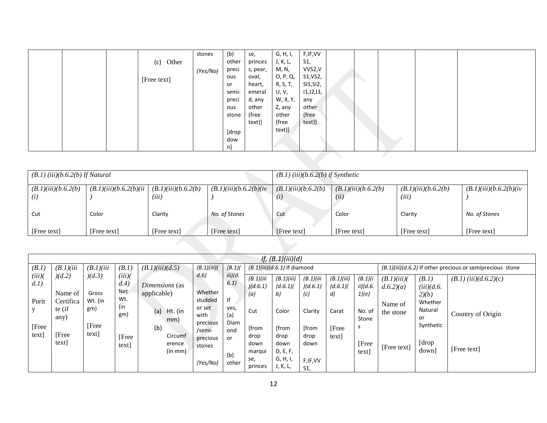|  |              | stones   | (b)   | se,      | G, H, I, | F,IF,VV     |  |  |  |
|--|--------------|----------|-------|----------|----------|-------------|--|--|--|
|  | Other<br>(c) |          | other | princes  | J, K, L, | S1,         |  |  |  |
|  |              | (Yes/No) | preci | s, pear, | M, N,    | VVS2,V      |  |  |  |
|  | [Free text]  |          | ous   | oval,    | 0, P, Q, | S1, VS2,    |  |  |  |
|  |              |          | or    | heart,   | R, S, T, | SI1, SI2,   |  |  |  |
|  |              |          | semi- | emeral   | U, V,    | 11, 12, 13, |  |  |  |
|  |              |          | preci | d, any   | W, X, Y, | any         |  |  |  |
|  |              |          | ous   | other    | Z, any   | other       |  |  |  |
|  |              |          | stone | (free    | other    | (free       |  |  |  |
|  |              |          |       | text)]   | (free    | text)]      |  |  |  |
|  |              |          | [drop |          | text)]   |             |  |  |  |
|  |              |          | dow   |          |          |             |  |  |  |
|  |              |          | n]    |          |          |             |  |  |  |
|  |              |          |       |          |          |             |  |  |  |
|  |              |          |       |          |          |             |  |  |  |
|  |              |          |       |          |          |             |  |  |  |

| $(B.1)$ (iii) $(b.6.2(b)$ If Natural           |                          |                               |                          | $(B.1)$ (iii)(b.6.2(b) if Synthetic |                              |                               |                          |  |  |  |  |
|------------------------------------------------|--------------------------|-------------------------------|--------------------------|-------------------------------------|------------------------------|-------------------------------|--------------------------|--|--|--|--|
| (B.1)(iii)(b.6.2(b))<br>$\left( \iota \right)$ | (B.1)(iii)(b.6.2(b)(ii)) | (B.1)(iii)(b.6.2(b))<br>(iii) | (B.1)(iii)(b.6.2(b)(iv)) | (B.1)(iii)(b.6.2(b))<br>(i)         | (B.1)(iii)(b.6.2(b))<br>(ii) | (B.1)(iii)(b.6.2(b))<br>(iii) | (B.1)(iii)(b.6.2(b)(iv)) |  |  |  |  |
| Cut                                            | Color                    | Clarity                       | No. of Stones            | Cut                                 | Color                        | Clarity                       | No. of Stones            |  |  |  |  |
| [Free text]                                    | [Free text]              | [Free text]                   | [Free text]              | [Free text]                         | [Free text]                  | [Free text]                   | [Free text]              |  |  |  |  |

|                |                      |                  |                   |                               |                    |                 |                 | <i>If,</i> $(B.1)(iii)(d)$     |                             |                               |                   |                      |                                    |                                                              |
|----------------|----------------------|------------------|-------------------|-------------------------------|--------------------|-----------------|-----------------|--------------------------------|-----------------------------|-------------------------------|-------------------|----------------------|------------------------------------|--------------------------------------------------------------|
| (B.1)          | (B.1)(iii)           | (B.1)(iii)       | (B.1)             | (B.1)(iii)(d.5)               | (B.1)(iii)         | $(B.1)$ (       |                 | $(B.1)(iii)(d.6.1)$ If diamond |                             |                               |                   |                      |                                    | $(B.1)(iii)/d.6.2$ ) If other precious or semiprecious stone |
| (iii)<br>d.1)  | )(d.2)               | )(d.3)           | (iii)<br>d.4)     |                               | d.6                | iii)(d.<br>6.1) | (B.1)(iii)      | (B.1)(iii)                     | (B.1)(iii)                  | (B.1)(iii)                    | (B.1)(i)          | (B.1)(iii)           | (B.1)                              | $(B.1)$ (iii)(d.6.2)(c)                                      |
| Purit          | Name of<br>Certifica | Gross<br>Wt. (in | <b>Net</b><br>Wt. | Dimensions (as<br>applicable) | Whether<br>studded | lf              | )(d.6.1)<br>(a) | (d.6.1)<br>b)                  | )(d.6.1)<br>(c)             | (d.6.1)<br>$\left( d \right)$ | ii)(d.6.<br>1)(e) | d.6.2(a)             | $(iii)(d.6)$ .<br>2)(b)<br>Whether |                                                              |
|                | te (if<br>any)       | gm)              | (in<br>gm)        | (a)<br>Ht. (in<br>mm)         | or set<br>with     | yes,<br>(a)     | Cut             | Color                          | Clarity                     | Carat                         | No. of<br>Stone   | Name of<br>the stone | Natural<br>or                      | Country of Origin                                            |
| [Free<br>text] | [Free                | [Free<br>text]   |                   | (b)<br>Circumf                | precious<br>/semi- | Diam<br>ond     | [from<br>drop   | [from<br>drop                  | [from<br>drop               | <b>[Free</b><br>text          | ь                 |                      | Synthetic                          |                                                              |
|                | text]                |                  | [Free<br>text     | erence<br>(in mm)             | precious<br>stones | or              | down<br>marqui  | down<br>D, E, F,               | down                        |                               | [Free<br>text]    | [Free text]          | [drop]<br>down                     | [Free text]                                                  |
|                |                      |                  |                   |                               | (Yes/No)           | (b)<br>other    | se,<br>princes  | G, H, I,<br>J, K, L,           | F, IF, VV<br>S <sub>1</sub> |                               |                   |                      |                                    |                                                              |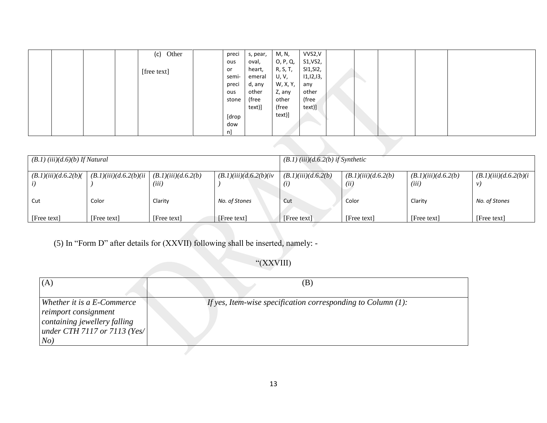|  |  | Other<br>(c) | preci | s, pear, | M, N,    | VVS2,V      |  |  |  |
|--|--|--------------|-------|----------|----------|-------------|--|--|--|
|  |  |              | ous   | oval,    | 0, P, Q, | S1, VS2,    |  |  |  |
|  |  | [free text]  | or    | heart,   | R, S, T, | SI1, SI2,   |  |  |  |
|  |  |              | semi- | emeral   | U, V,    | 11, 12, 13, |  |  |  |
|  |  |              | preci | d, any   | W, X, Y, | any         |  |  |  |
|  |  |              | ous   | other    | Z, any   | other       |  |  |  |
|  |  |              | stone | (free    | other    | (free       |  |  |  |
|  |  |              |       | text)]   | (free    | text)]      |  |  |  |
|  |  |              | [drop |          | text)]   |             |  |  |  |
|  |  |              | dow   |          |          |             |  |  |  |
|  |  |              | n]    |          |          |             |  |  |  |
|  |  |              |       |          |          |             |  |  |  |
|  |  |              |       |          |          |             |  |  |  |

| $(B.1)$ (iii) $(d.6)$ (b) If Natural |                      |                               |                          | $(B.1)$ (iii)(d.6.2(b) if Synthetic |                              |                               |                                  |  |  |  |  |
|--------------------------------------|----------------------|-------------------------------|--------------------------|-------------------------------------|------------------------------|-------------------------------|----------------------------------|--|--|--|--|
| (B.1)(iii)(d.6.2(b))                 | (B.1)(iii)(d.6.2(b)) | (B.1)(iii)(d.6.2(b))<br>(iii) | (B.1)(iii)(d.6.2(b)(iv)) | (B.1)(iii)(d.6.2(b))<br>(i)         | (B.1)(iii)(d.6.2(b))<br>(ii) | (B.1)(iii)(d.6.2(b))<br>(iii) | (B.1)(iii)(d.6.2(b)(i))<br>$\nu$ |  |  |  |  |
| Cut                                  | Color                | Clarity                       | No. of Stones            | Cut                                 | Color                        | Clarity                       | No. of Stones                    |  |  |  |  |
| [Free text]                          | [Free text]          | [Free text]                   | [Free text]              | [Free text]                         | [Free text]                  | [Free text]                   | [Free text]                      |  |  |  |  |

(5) In "Form D" after details for (XXVII) following shall be inserted, namely: -

"(XXVIII)

| (A)                                                                                                                       | (B)                                                             |
|---------------------------------------------------------------------------------------------------------------------------|-----------------------------------------------------------------|
| Whether it is a E-Commerce<br>reimport consignment<br>containing jewellery falling<br>under CTH 7117 or 7113 (Yes/<br>No) | If yes, Item-wise specification corresponding to Column $(1)$ : |
|                                                                                                                           |                                                                 |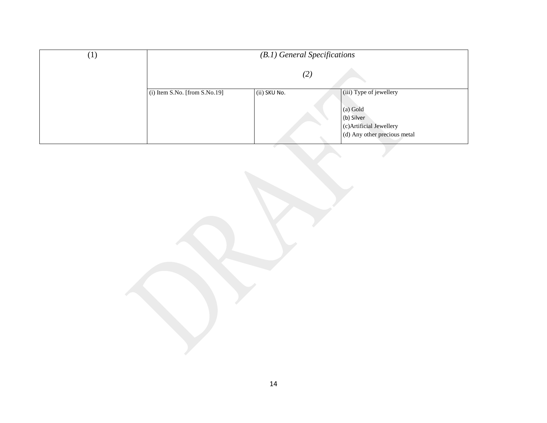| $\left(1\right)$ | $(B.1)$ General Specifications  |              |                                       |  |  |  |  |
|------------------|---------------------------------|--------------|---------------------------------------|--|--|--|--|
|                  |                                 | (2)          |                                       |  |  |  |  |
|                  | $(i)$ Item S.No. [from S.No.19] | (ii) SKU No. | (iii) Type of jewellery               |  |  |  |  |
|                  |                                 |              | (a) Gold                              |  |  |  |  |
|                  |                                 |              | (b) Silver<br>(c)Artificial Jewellery |  |  |  |  |
|                  |                                 |              | (d) Any other precious metal          |  |  |  |  |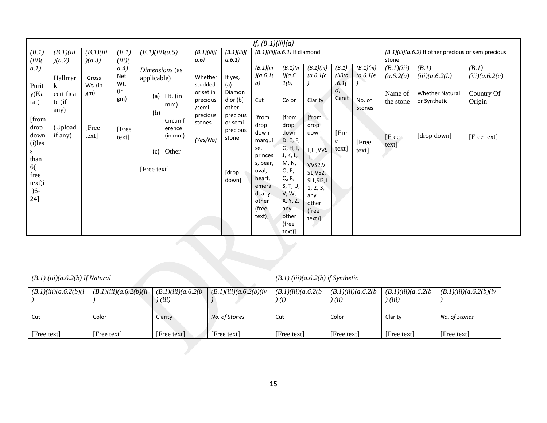|              |                    |                  |             |                   |                    |                   | If, $(B.1)(iii)(a)$            |                      |                        |                   |                                                       |                     |                        |                          |
|--------------|--------------------|------------------|-------------|-------------------|--------------------|-------------------|--------------------------------|----------------------|------------------------|-------------------|-------------------------------------------------------|---------------------|------------------------|--------------------------|
| (B.1)        | (B.1)(iii)         | (B.1)(iii)       | (B.1)       | (B.1)(iii)(a.5)   | (B.1)(iii)         | (B.1)(iii)        | $(B.1)(iii)(a.6.1)$ If diamond |                      |                        |                   | $(B.1)(iii)(a.6.2)$ If other precious or semiprecious |                     |                        |                          |
| (iii)        | )(a.2)             | )(a.3)           | (iii)       |                   | a.6)               | a.6.1)            | (B.1)(iii)                     |                      |                        |                   |                                                       | stone<br>(B.1)(iii) | (B.1)                  |                          |
| a.1)         |                    |                  | a.4)<br>Net | Dimensions (as    | Whether            | If yes,           | )(a.6.1)                       | (B.1)(ii)<br>i)(a.6. | (B.1)(iii)<br>(a.6.1(c | (B.1)<br>(iii)(a) | (B.1)(iii)<br>(a.6.1(e                                | (a.6.2(a)           | (iii)(a.6.2(b))        | (B.1)<br>(iii)(a.6.2(c)) |
| Purit        | Hallmar<br>k       | Gross<br>Wt. (in | Wt.         | applicable)       | studded            | (a)               | a)                             | 1(b)                 |                        | .6.1(             |                                                       |                     |                        |                          |
| y(Ka         | certifica          | gm)              | (in         | (a)<br>Ht. (in    | or set in          | Diamon            |                                |                      |                        | d)                |                                                       | Name of             | <b>Whether Natural</b> | Country Of               |
| rat)         | te (if             |                  | gm)         | mm)               | precious           | $d$ or $(b)$      | Cut                            | Color                | Clarity                | Carat             | No. of                                                | the stone           | or Synthetic           | Origin                   |
|              | any)               |                  |             | (b)               | /semi-<br>precious | other<br>precious |                                |                      |                        |                   | <b>Stones</b>                                         |                     |                        |                          |
| [from        |                    |                  |             | Circumf           | stones             | or semi-          | [from<br>drop                  | [from<br>drop        | [from]<br>drop         |                   |                                                       |                     |                        |                          |
| drop<br>down | (Upload<br>if any) | [Free<br>text]   | [Free       | erence<br>(in mm) |                    | precious          | down                           | down                 | down                   | [Fre              |                                                       | [Free               | [drop down]            | [Free text]              |
| $(i)$ les    |                    |                  | text]       |                   | (Yes/No)           | stone             | marqui                         | D, E, F,             |                        | e                 | [Free                                                 | text]               |                        |                          |
| S            |                    |                  |             | Other<br>(c)      |                    |                   | se,<br>princes                 | G, H, I,<br>J, K, L, | F, IF, VVS             | text]             | text]                                                 |                     |                        |                          |
| than         |                    |                  |             |                   |                    |                   | s, pear,                       | M, N,                | 1,<br>VVS2,V           |                   |                                                       |                     |                        |                          |
| 6(<br>free   |                    |                  |             | [Free text]       |                    | [drop             | oval,                          | O, P,                | S1, VS2,               |                   |                                                       |                     |                        |                          |
| text)i       |                    |                  |             |                   |                    | down]             | heart,<br>emeral               | Q, R,<br>S, T, U,    | SI1, SI2, I            |                   |                                                       |                     |                        |                          |
| $i)6-$       |                    |                  |             |                   |                    |                   | d, any                         | V, W,                | 1, 12, 13,<br>any      |                   |                                                       |                     |                        |                          |
| 24]          |                    |                  |             |                   |                    |                   | other                          | X, Y, Z,             | other                  |                   |                                                       |                     |                        |                          |
|              |                    |                  |             |                   |                    |                   | (free<br>text)]                | any<br>other         | (free                  |                   |                                                       |                     |                        |                          |
|              |                    |                  |             |                   |                    |                   |                                | (free                | text)]                 |                   |                                                       |                     |                        |                          |
|              |                    |                  |             |                   |                    |                   |                                | text)]               |                        |                   |                                                       |                     |                        |                          |
|              |                    |                  |             |                   |                    |                   |                                |                      |                        |                   |                                                       |                     |                        |                          |
|              |                    |                  |             |                   |                    |                   |                                |                      |                        |                   |                                                       |                     |                        |                          |
|              |                    |                  |             |                   |                    |                   |                                |                      |                        |                   |                                                       |                     |                        |                          |
|              |                    |                  |             |                   |                    |                   |                                |                      |                        |                   |                                                       |                     |                        |                          |

| $(B.1)$ (iii) $(a.6.2(b)$ If Natural |                          |                               |                          | $(B.1)$ (iii) $(a.6.2(b)$ if Synthetic |                             |                             |                          |  |  |
|--------------------------------------|--------------------------|-------------------------------|--------------------------|----------------------------------------|-----------------------------|-----------------------------|--------------------------|--|--|
| (B.1)(iii)(a.6.2(b)(i))              | (B.1)(iii)(a.6.2(b)(ii)) | (B.1)(iii)(a.6.2(b))<br>(iii) | (B.1)(iii)(a.6.2(b)(iv)) | (B.1)(iii)(a.6.2(b<br>(i)              | (B.1)(iii)(a.6.2(b<br>(iii) | (B.1)(iii)(a.6.2(b<br>(iii) | (B.1)(iii)(a.6.2(b)(iv)) |  |  |
| Cut                                  | Color                    | Clarity                       | No. of Stones            | Cut                                    | Color                       | Clarity                     | No. of Stones            |  |  |
| [Free text]                          | [Free text]              | [Free text]                   | [Free text]              | [Free text]                            | [Free text]                 | [Free text]                 | [Free text]              |  |  |
|                                      |                          |                               |                          |                                        |                             |                             |                          |  |  |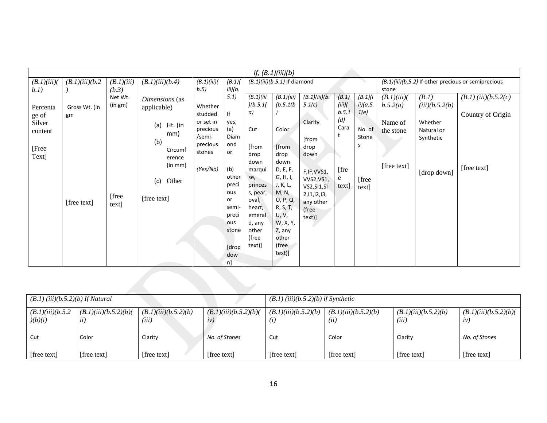|                                                                  |                                    |                                                |                                                                                                                              |                                                                                                 |                                                                                                                                                         |                                                                                                                                                                         | If, $(B.1)(iii)(b)$                                                                                                                                                                       |                                                                                                                                                                 |                                                                   |                                                                         |                                                                        |                                                                              |                                                               |
|------------------------------------------------------------------|------------------------------------|------------------------------------------------|------------------------------------------------------------------------------------------------------------------------------|-------------------------------------------------------------------------------------------------|---------------------------------------------------------------------------------------------------------------------------------------------------------|-------------------------------------------------------------------------------------------------------------------------------------------------------------------------|-------------------------------------------------------------------------------------------------------------------------------------------------------------------------------------------|-----------------------------------------------------------------------------------------------------------------------------------------------------------------|-------------------------------------------------------------------|-------------------------------------------------------------------------|------------------------------------------------------------------------|------------------------------------------------------------------------------|---------------------------------------------------------------|
| (B.1)(iii)                                                       | (B.1)(iii)(b.2)                    | (B.1)(iii)                                     | (B.1)(iii)(b.4)                                                                                                              | (B.1)(iii)                                                                                      | (B.1)                                                                                                                                                   |                                                                                                                                                                         | $(B.1)(iii)(b.5.1)$ If diamond                                                                                                                                                            |                                                                                                                                                                 |                                                                   |                                                                         |                                                                        |                                                                              | (B.1)(iii)(b.5.2) If other precious or semiprecious           |
| b.1)<br>Percenta<br>ge of<br>Silver<br>content<br>[Free<br>Text] | Gross Wt. (in<br>gm<br>[free text] | (b.3)<br>Net Wt.<br>(in gm)<br>[free]<br>text] | Dimensions (as<br>applicable)<br>(a)<br>Ht. (in<br>mm)<br>(b)<br>Circumf<br>erence<br>(in mm)<br>Other<br>(c)<br>[free text] | b.5)<br>Whether<br>studded<br>or set in<br>precious<br>/semi-<br>precious<br>stones<br>(Yes/No) | iii)(b.<br>5.1)<br>lf<br>yes,<br>(a)<br>Diam<br>ond<br>or<br>(b)<br>other<br>preci<br>ous<br>or<br>semi-<br>preci<br>ous<br>stone<br>[drop<br>dow<br>n] | (B.1)(iii)<br>)(b.5.1(<br>a)<br>Cut<br>[from<br>drop<br>down<br>marqui<br>se,<br>princes<br>s, pear,<br>oval,<br>heart,<br>emeral<br>d, any<br>other<br>(free<br>text)] | (B.1)(iii)<br>(b.5.1/b)<br>Color<br>[from<br>drop<br>down<br>D, E, F,<br>G, H, I,<br>J, K, L,<br>M, N,<br>0, P, Q,<br>R, S, T,<br>U, V,<br>W, X, Y,<br>Z, any<br>other<br>(free<br>text)] | (B.1)(iii)(b.<br>5.1(c)<br>Clarity<br>[from<br>drop<br>down<br>F, IF, VVS1,<br><b>VVS2, VS1,</b><br>VS2, SI1, SI<br>2,11,12,13,<br>any other<br>(free<br>text)] | (B.1)<br>(iii)<br>b.5.1<br>(d)<br>Cara<br>t<br>[fre<br>e<br>text] | (B.1)(i)<br>ii)(a.5.<br>1(e)<br>No. of<br>Stone<br>s<br>[free]<br>text] | stone<br>(B.1)(iii)<br>b.5.2(a)<br>Name of<br>the stone<br>[free text] | (B.1)<br>(iii)(b.5.2(b)<br>Whether<br>Natural or<br>Synthetic<br>[drop down] | $(B.1)$ (iii) $(b.5.2(c)$<br>Country of Origin<br>[free text] |
|                                                                  |                                    |                                                |                                                                                                                              |                                                                                                 |                                                                                                                                                         |                                                                                                                                                                         |                                                                                                                                                                                           |                                                                                                                                                                 |                                                                   |                                                                         |                                                                        |                                                                              |                                                               |

| $(B.1)$ (iii) $(b.5.2)$ $(b)$ If Natural |                             |                               |                             | $(B.1)$ (iii)(b.5.2)(b) if Synthetic |                              |                               |                            |  |  |
|------------------------------------------|-----------------------------|-------------------------------|-----------------------------|--------------------------------------|------------------------------|-------------------------------|----------------------------|--|--|
| (B.1)(iii)(b.5.2)<br>y(b)(i)             | (B.1)(iii)(b.5.2)(b)<br>ii) | (B.1)(iii)(b.5.2)(b)<br>(iii) | (B.1)(iii)(b.5.2)(b)<br>iv) | (B.1)(iii)(b.5.2)(b)<br>(i)          | (B.1)(iii)(b.5.2)(b)<br>(ii) | (B.1)(iii)(b.5.2)(b)<br>(iii) | (B.1)(iii)(b.5.2)(b)<br>iv |  |  |
| Cut                                      | Color                       | Clarity                       | No. of Stones               | Cut                                  | Color                        | Clarity                       | No. of Stones              |  |  |
| [free text]                              | [free text]                 | [free text]                   | [free text]                 | [free text]                          | [free text]                  | [free text]                   | [free text]                |  |  |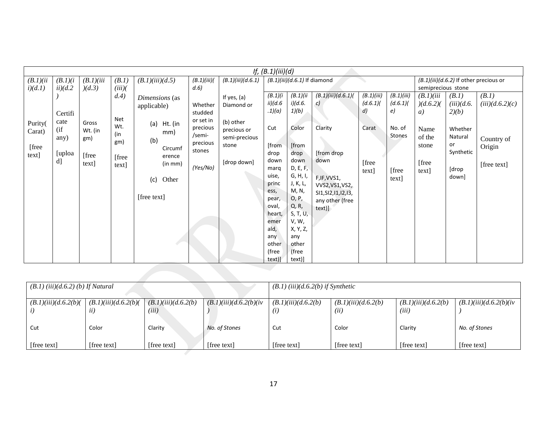|                                      | If, $(B.1)(iii)(d)$                    |                                            |                                     |                                                                                             |                                                      |                                                                   |                                                                                                                                               |                                                                                                                                                                   |                                                                                                                        |                                             |                                    |                                           |                                                         |                                     |
|--------------------------------------|----------------------------------------|--------------------------------------------|-------------------------------------|---------------------------------------------------------------------------------------------|------------------------------------------------------|-------------------------------------------------------------------|-----------------------------------------------------------------------------------------------------------------------------------------------|-------------------------------------------------------------------------------------------------------------------------------------------------------------------|------------------------------------------------------------------------------------------------------------------------|---------------------------------------------|------------------------------------|-------------------------------------------|---------------------------------------------------------|-------------------------------------|
| (B.1)(ii)<br>i)(d.1)                 | (B.1)(i)<br>ii)(d.2)                   | (B.1)(iii)<br>)(d.3)                       | (B.1)<br>(iii)                      | (B.1)(iii)(d.5)                                                                             | (B.1)(iii)<br>d.6                                    | (B.1)(iii)(d.6.1)                                                 |                                                                                                                                               | $(B.1)(iii)(d.6.1)$ If diamond                                                                                                                                    |                                                                                                                        |                                             |                                    | semiprecious stone                        | (B.1)(iii)(d.6.2) If other precious or                  |                                     |
|                                      | Certifi                                |                                            | d.4)<br>Net                         | Dimensions (as<br>applicable)                                                               | Whether<br>studded<br>or set in                      | If yes, (a)<br>Diamond or                                         | (B.1)(i)<br>ii)(d.6<br>.1)(a)                                                                                                                 | (B.1)/ii<br>i)(d.6.<br>1)(b)                                                                                                                                      | (B.1)(iii)(d.6.1)(<br>c)                                                                                               | (B.1)(iii)<br>(d.6.1)<br>$\left( d \right)$ | (B.1)(iii)<br>(d.6.1)<br>e)        | (B.1)(iii)<br>)(d.6.2)(<br>a)             | (B.1)<br>(iii)(d.6)<br>2)(b)                            | (B.1)<br>(iii)(d.6.2)(c)            |
| Purity(<br>Carat)<br>[free]<br>text] | cate<br>$($ if<br>any)<br>[uploa<br>d] | Gross<br>Wt. (in<br>gm)<br>[free]<br>text] | Wt.<br>(in<br>gm)<br>[free<br>text] | (a)<br>Ht. (in<br>mm)<br>(b)<br>Circumf<br>erence<br>(in mm)<br>Other<br>(c)<br>[free text] | precious<br>/semi-<br>precious<br>stones<br>(Yes/No) | (b) other<br>precious or<br>semi-precious<br>stone<br>[drop down] | Cut<br>[from<br>drop<br>down<br>marq<br>uise,<br>princ<br>ess,<br>pear,<br>oval,<br>heart,<br>emer<br>ald,<br>any<br>other<br>(free<br>text)] | Color<br>[from<br>drop<br>down<br>D, E, F,<br>G, H, I,<br>J, K, L,<br>M, N,<br>O, P,<br>Q, R,<br>S, T, U,<br>V, W,<br>X, Y, Z,<br>any<br>other<br>(free<br>text)] | Clarity<br>[from drop<br>down<br>F, IF, VVS1,<br>VVS2, VS1, VS2,<br>SI1, SI2, 11, 12, 13,<br>any other (free<br>text)] | Carat<br>[free<br>text]                     | No. of<br>Stones<br>[free<br>text] | Name<br>of the<br>stone<br>[free<br>text] | Whether<br>Natural<br>or<br>Synthetic<br>[drop<br>down] | Country of<br>Origin<br>[free text] |

|                                        |                             |                               |                        | .<br>. .                               |                              |                               |                          |
|----------------------------------------|-----------------------------|-------------------------------|------------------------|----------------------------------------|------------------------------|-------------------------------|--------------------------|
| $(B.1)$ (iii) $(d.6.2)$ (b) If Natural |                             |                               |                        | $(B.1)$ (iii) $(d.6.2(b)$ if Synthetic |                              |                               |                          |
| (B.1)(iii)(d.6.2(b))                   | (B.1)(iii)(d.6.2(b))<br>ii) | (B.1)(iii)(d.6.2(b))<br>(iii) | (B.1)(iii)(d.6.2(b)(iv | (B.1)(iii)(d.6.2(b))<br>(i)            | (B.1)(iii)(d.6.2(b))<br>(ii) | (B.1)(iii)(d.6.2(b))<br>(iii) | (B.1)(iii)(d.6.2(b)(iv)) |
| Cut                                    | Color                       | Clarity                       | No. of Stones          | Cut                                    | Color                        | Clarity                       | No. of Stones            |
| [free text]                            | [free text]                 | [free text]                   | [free text]            | [free text]                            | [free text]                  | [free text]                   | [free text]              |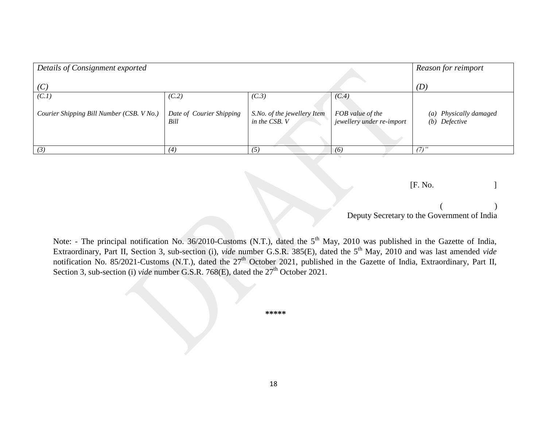| Details of Consignment exported           |                                  |                                              |                                               | Reason for reimport                     |
|-------------------------------------------|----------------------------------|----------------------------------------------|-----------------------------------------------|-----------------------------------------|
| (C)                                       |                                  |                                              |                                               | (D)                                     |
| (C.1)                                     | (C.2)                            | (C.3)                                        | (C.4)                                         |                                         |
| Courier Shipping Bill Number (CSB. V No.) | Date of Courier Shipping<br>Bill | S.No. of the jewellery Item<br>in the CSB. V | FOB value of the<br>jewellery under re-import | (a) Physically damaged<br>(b) Defective |
| (3)                                       | (4)                              | (5                                           | (6)                                           | $(7)$ "                                 |

[F. No. ]

| Deputy Secretary to the Government of India |  |
|---------------------------------------------|--|

Note: - The principal notification No. 36/2010-Customs (N.T.), dated the 5<sup>th</sup> May, 2010 was published in the Gazette of India, Extraordinary, Part II, Section 3, sub-section (i), *vide* number G.S.R. 385(E), dated the 5<sup>th</sup> May, 2010 and was last amended *vide* notification No. 85/2021-Customs (N.T.), dated the 27<sup>th</sup> October 2021, published in the Gazette of India, Extraordinary, Part II, Section 3, sub-section (i) *vide* number G.S.R. 768(E), dated the  $27<sup>th</sup>$  October 2021.

 **\*\*\*\*\***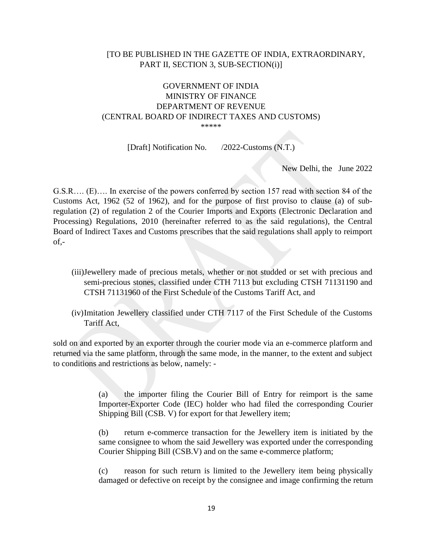## [TO BE PUBLISHED IN THE GAZETTE OF INDIA, EXTRAORDINARY, PART II, SECTION 3, SUB-SECTION(i)]

### GOVERNMENT OF INDIA MINISTRY OF FINANCE DEPARTMENT OF REVENUE (CENTRAL BOARD OF INDIRECT TAXES AND CUSTOMS) \*\*\*\*\*

[Draft] Notification No. /2022-Customs (N.T.)

New Delhi, the June 2022

G.S.R…. (E)…. In exercise of the powers conferred by section 157 read with section 84 of the Customs Act, 1962 (52 of 1962), and for the purpose of first proviso to clause (a) of subregulation (2) of regulation 2 of the Courier Imports and Exports (Electronic Declaration and Processing) Regulations, 2010 (hereinafter referred to as the said regulations), the Central Board of Indirect Taxes and Customs prescribes that the said regulations shall apply to reimport of,-

- (iii)Jewellery made of precious metals, whether or not studded or set with precious and semi-precious stones, classified under CTH 7113 but excluding CTSH 71131190 and CTSH 71131960 of the First Schedule of the Customs Tariff Act, and
- (iv)Imitation Jewellery classified under CTH 7117 of the First Schedule of the Customs Tariff Act,

sold on and exported by an exporter through the courier mode via an e-commerce platform and returned via the same platform, through the same mode, in the manner, to the extent and subject to conditions and restrictions as below, namely: -

> (a) the importer filing the Courier Bill of Entry for reimport is the same Importer-Exporter Code (IEC) holder who had filed the corresponding Courier Shipping Bill (CSB. V) for export for that Jewellery item;

> (b) return e-commerce transaction for the Jewellery item is initiated by the same consignee to whom the said Jewellery was exported under the corresponding Courier Shipping Bill (CSB.V) and on the same e-commerce platform;

> (c) reason for such return is limited to the Jewellery item being physically damaged or defective on receipt by the consignee and image confirming the return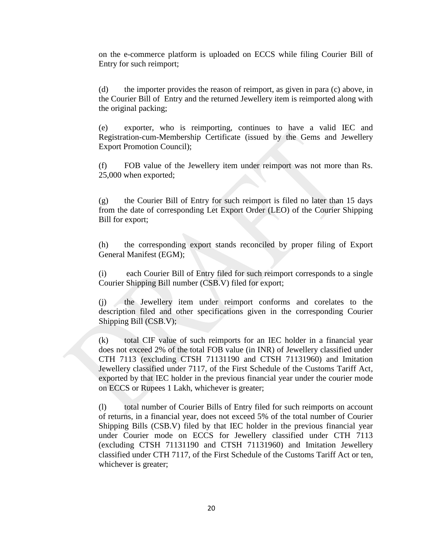on the e-commerce platform is uploaded on ECCS while filing Courier Bill of Entry for such reimport;

(d) the importer provides the reason of reimport, as given in para (c) above, in the Courier Bill of Entry and the returned Jewellery item is reimported along with the original packing;

(e) exporter, who is reimporting, continues to have a valid IEC and Registration-cum-Membership Certificate (issued by the Gems and Jewellery Export Promotion Council);

(f) FOB value of the Jewellery item under reimport was not more than Rs. 25,000 when exported;

(g) the Courier Bill of Entry for such reimport is filed no later than 15 days from the date of corresponding Let Export Order (LEO) of the Courier Shipping Bill for export;

(h) the corresponding export stands reconciled by proper filing of Export General Manifest (EGM);

(i) each Courier Bill of Entry filed for such reimport corresponds to a single Courier Shipping Bill number (CSB.V) filed for export;

(j) the Jewellery item under reimport conforms and corelates to the description filed and other specifications given in the corresponding Courier Shipping Bill (CSB.V);

(k) total CIF value of such reimports for an IEC holder in a financial year does not exceed 2% of the total FOB value (in INR) of Jewellery classified under CTH 7113 (excluding CTSH 71131190 and CTSH 71131960) and Imitation Jewellery classified under 7117, of the First Schedule of the Customs Tariff Act, exported by that IEC holder in the previous financial year under the courier mode on ECCS or Rupees 1 Lakh, whichever is greater;

(l) total number of Courier Bills of Entry filed for such reimports on account of returns, in a financial year, does not exceed 5% of the total number of Courier Shipping Bills (CSB.V) filed by that IEC holder in the previous financial year under Courier mode on ECCS for Jewellery classified under CTH 7113 (excluding CTSH 71131190 and CTSH 71131960) and Imitation Jewellery classified under CTH 7117, of the First Schedule of the Customs Tariff Act or ten, whichever is greater;